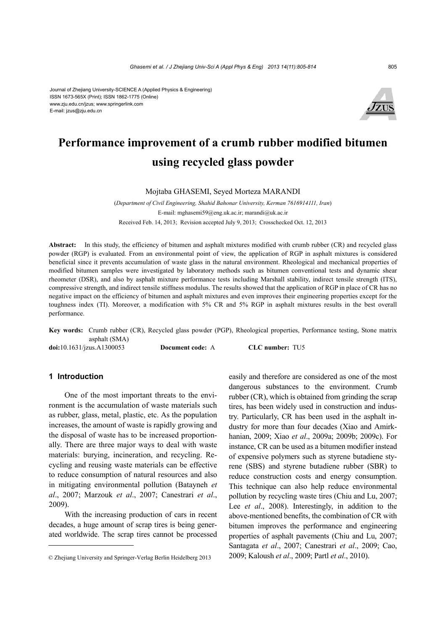Journal of Zhejiang University-SCIENCE A (Applied Physics & Engineering) ISSN 1673-565X (Print); ISSN 1862-1775 (Online) www.zju.edu.cn/jzus; www.springerlink.com E-mail: jzus@zju.edu.cn



# **Performance improvement of a crumb rubber modified bitumen using recycled glass powder**

Mojtaba GHASEMI, Seyed Morteza MARANDI

(*Department of Civil Engineering, Shahid Bahonar University, Kerman 7616914111, Iran*) E-mail: mghasemi59@eng.uk.ac.ir; marandi@uk.ac.ir Received Feb. 14, 2013; Revision accepted July 9, 2013; Crosschecked Oct. 12, 2013

**Abstract:** In this study, the efficiency of bitumen and asphalt mixtures modified with crumb rubber (CR) and recycled glass powder (RGP) is evaluated. From an environmental point of view, the application of RGP in asphalt mixtures is considered beneficial since it prevents accumulation of waste glass in the natural environment. Rheological and mechanical properties of modified bitumen samples were investigated by laboratory methods such as bitumen conventional tests and dynamic shear rheometer (DSR), and also by asphalt mixture performance tests including Marshall stability, indirect tensile strength (ITS), compressive strength, and indirect tensile stiffness modulus. The results showed that the application of RGP in place of CR has no negative impact on the efficiency of bitumen and asphalt mixtures and even improves their engineering properties except for the toughness index (TI). Moreover, a modification with 5% CR and 5% RGP in asphalt mixtures results in the best overall performance.

**Key words:** Crumb rubber (CR), Recycled glass powder (PGP), Rheological properties, Performance testing, Stone matrix asphalt (SMA) **doi:**10.1631/jzus.A1300053 **Document code:** A **CLC number:** TU5

# **1 Introduction**

One of the most important threats to the environment is the accumulation of waste materials such as rubber, glass, metal, plastic, etc. As the population increases, the amount of waste is rapidly growing and the disposal of waste has to be increased proportionally. There are three major ways to deal with waste materials: burying, incineration, and recycling. Recycling and reusing waste materials can be effective to reduce consumption of natural resources and also in mitigating environmental pollution (Batayneh *et al*., 2007; Marzouk *et al*., 2007; Canestrari *et al*., 2009).

With the increasing production of cars in recent decades, a huge amount of scrap tires is being generated worldwide. The scrap tires cannot be processed easily and therefore are considered as one of the most dangerous substances to the environment. Crumb rubber (CR), which is obtained from grinding the scrap tires, has been widely used in construction and industry. Particularly, CR has been used in the asphalt industry for more than four decades (Xiao and Amirkhanian, 2009; Xiao *et al*., 2009a; 2009b; 2009c). For instance, CR can be used as a bitumen modifier instead of expensive polymers such as styrene butadiene styrene (SBS) and styrene butadiene rubber (SBR) to reduce construction costs and energy consumption. This technique can also help reduce environmental pollution by recycling waste tires (Chiu and Lu, 2007; Lee *et al.*, 2008). Interestingly, in addition to the above-mentioned benefits, the combination of CR with bitumen improves the performance and engineering properties of asphalt pavements (Chiu and Lu, 2007; Santagata *et al*., 2007; Canestrari *et al*., 2009; Cao, 2009; Kaloush *et al*., 2009; Partl *et al*., 2010).

<sup>©</sup> Zhejiang University and Springer-Verlag Berlin Heidelberg 2013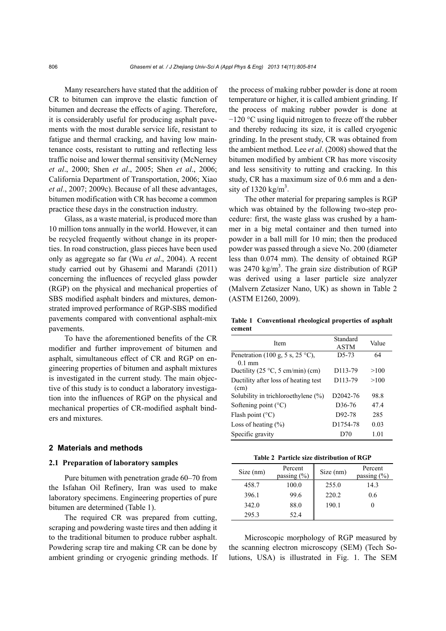Many researchers have stated that the addition of CR to bitumen can improve the elastic function of bitumen and decrease the effects of aging. Therefore, it is considerably useful for producing asphalt pavements with the most durable service life, resistant to fatigue and thermal cracking, and having low maintenance costs, resistant to rutting and reflecting less traffic noise and lower thermal sensitivity (McNerney *et al*., 2000; Shen *et al*., 2005; Shen *et al*., 2006; California Department of Transportation, 2006; Xiao *et al*., 2007; 2009c). Because of all these advantages, bitumen modification with CR has become a common practice these days in the construction industry.

Glass, as a waste material, is produced more than 10 million tons annually in the world. However, it can be recycled frequently without change in its properties. In road construction, glass pieces have been used only as aggregate so far (Wu *et al*., 2004). A recent study carried out by Ghasemi and Marandi (2011) concerning the influences of recycled glass powder (RGP) on the physical and mechanical properties of SBS modified asphalt binders and mixtures, demonstrated improved performance of RGP-SBS modified pavements compared with conventional asphalt-mix pavements.

To have the aforementioned benefits of the CR modifier and further improvement of bitumen and asphalt, simultaneous effect of CR and RGP on engineering properties of bitumen and asphalt mixtures is investigated in the current study. The main objective of this study is to conduct a laboratory investigation into the influences of RGP on the physical and mechanical properties of CR-modified asphalt binders and mixtures.

# **2 Materials and methods**

# **2.1 Preparation of laboratory samples**

Pure bitumen with penetration grade 60–70 from the Isfahan Oil Refinery, Iran was used to make laboratory specimens. Engineering properties of pure bitumen are determined (Table 1).

The required CR was prepared from cutting, scraping and powdering waste tires and then adding it to the traditional bitumen to produce rubber asphalt. Powdering scrap tire and making CR can be done by ambient grinding or cryogenic grinding methods. If the process of making rubber powder is done at room temperature or higher, it is called ambient grinding. If the process of making rubber powder is done at −120 °C using liquid nitrogen to freeze off the rubber and thereby reducing its size, it is called cryogenic grinding. In the present study, CR was obtained from the ambient method. Lee *et al*. (2008) showed that the bitumen modified by ambient CR has more viscosity and less sensitivity to rutting and cracking. In this study, CR has a maximum size of 0.6 mm and a density of  $1320 \text{ kg/m}^3$ .

The other material for preparing samples is RGP which was obtained by the following two-step procedure: first, the waste glass was crushed by a hammer in a big metal container and then turned into powder in a ball mill for 10 min; then the produced powder was passed through a sieve No. 200 (diameter less than 0.074 mm). The density of obtained RGP was  $2470 \text{ kg/m}^3$ . The grain size distribution of RGP was derived using a laser particle size analyzer (Malvern Zetasizer Nano, UK) as shown in Table 2 (ASTM E1260, 2009).

**Table 1 Conventional rheological properties of asphalt cement** 

| Item                                              | Standard<br><b>ASTM</b> | Value |
|---------------------------------------------------|-------------------------|-------|
| Penetration (100 g, 5 s, 25 °C),<br>$0.1$ mm      | $D5-73$                 | 64    |
| Ductility $(25 \degree C, 5 \degree cm/min)$ (cm) | D <sub>113-79</sub>     | >100  |
| Ductility after loss of heating test<br>(cm)      | D <sub>113-79</sub>     | >100  |
| Solubility in trichloroethylene $(\%)$            | D2042-76                | 98.8  |
| Softening point $(^{\circ}C)$                     | D <sub>36</sub> -76     | 47.4  |
| Flash point $(^{\circ}C)$                         | D92-78                  | 285   |
| Loss of heating $(\% )$                           | D1754-78                | 0.03  |
| Specific gravity                                  | D70                     | 1.01  |

| Table 2 Particle size distribution of RGP |  |
|-------------------------------------------|--|
|                                           |  |

| Size (nm) | Percent<br>passing $(\% )$ | Size (nm) | Percent<br>passing $(\% )$ |
|-----------|----------------------------|-----------|----------------------------|
| 458.7     | 100.0                      | 255.0     | 14.3                       |
| 396.1     | 99.6                       | 220.2     | 0.6                        |
| 342.0     | 88.0                       | 190.1     |                            |
| 295.3     | 52.4                       |           |                            |

Microscopic morphology of RGP measured by the scanning electron microscopy (SEM) (Tech Solutions, USA) is illustrated in Fig. 1. The SEM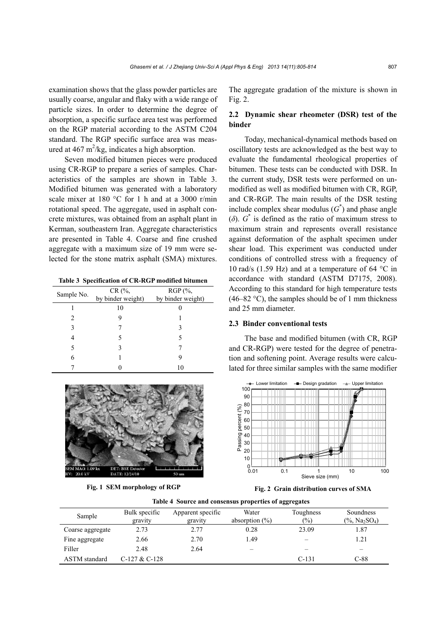examination shows that the glass powder particles are usually coarse, angular and flaky with a wide range of particle sizes. In order to determine the degree of absorption, a specific surface area test was performed on the RGP material according to the ASTM C204 standard. The RGP specific surface area was measured at  $467 \text{ m}^2/\text{kg}$ , indicates a high absorption.

Seven modified bitumen pieces were produced using CR-RGP to prepare a series of samples. Characteristics of the samples are shown in Table 3. Modified bitumen was generated with a laboratory scale mixer at 180 °C for 1 h and at a 3000 r/min rotational speed. The aggregate, used in asphalt concrete mixtures, was obtained from an asphalt plant in Kerman, southeastern Iran. Aggregate characteristics are presented in Table 4. Coarse and fine crushed aggregate with a maximum size of 19 mm were selected for the stone matrix asphalt (SMA) mixtures.

**Table 3 Specification of CR-RGP modified bitumen** 

| Sample No. | CR (%,<br>by binder weight) | RGP (%,<br>by binder weight) |
|------------|-----------------------------|------------------------------|
|            | 10                          |                              |
|            | 9                           |                              |
| 3          |                             |                              |
| 4          |                             |                              |
| 5          |                             |                              |
| 6          |                             |                              |
|            |                             |                              |



**Fig. 1 SEM morphology of RGP**

The aggregate gradation of the mixture is shown in Fig. 2.

# **2.2 Dynamic shear rheometer (DSR) test of the binder**

Today, mechanical-dynamical methods based on oscillatory tests are acknowledged as the best way to evaluate the fundamental rheological properties of bitumen. These tests can be conducted with DSR. In the current study, DSR tests were performed on unmodified as well as modified bitumen with CR, RGP, and CR-RGP. The main results of the DSR testing include complex shear modulus  $(G^*)$  and phase angle ( $\delta$ ).  $G^*$  is defined as the ratio of maximum stress to maximum strain and represents overall resistance against deformation of the asphalt specimen under shear load. This experiment was conducted under conditions of controlled stress with a frequency of 10 rad/s (1.59 Hz) and at a temperature of 64 °C in accordance with standard (ASTM D7175, 2008). According to this standard for high temperature tests  $(46–82 \degree C)$ , the samples should be of 1 mm thickness and 25 mm diameter.

### **2.3 Binder conventional tests**

The base and modified bitumen (with CR, RGP and CR-RGP) were tested for the degree of penetration and softening point. Average results were calculated for three similar samples with the same modifier



**Fig. 2 Grain distribution curves of SMA**

|  |  |  |  | Table 4 Source and consensus properties of aggregates |
|--|--|--|--|-------------------------------------------------------|
|--|--|--|--|-------------------------------------------------------|

| Sample               | Bulk specific<br>gravity | Apparent specific<br>gravity | Water<br>absorption $(\%)$ | Toughness<br>$\frac{(0)}{0}$ | Soundness<br>$(\%$ , Na <sub>2</sub> SO <sub>4</sub> ) |
|----------------------|--------------------------|------------------------------|----------------------------|------------------------------|--------------------------------------------------------|
| Coarse aggregate     | 2.73                     | 2.77                         | 0.28                       | 23.09                        | 1.87                                                   |
| Fine aggregate       | 2.66                     | 2.70                         | l.49                       |                              | 1.21                                                   |
| Filler               | 2.48                     | 2.64                         | -                          | -                            |                                                        |
| <b>ASTM</b> standard | $C-127 & C-128$          |                              |                            | $C-131$                      | $C-88$                                                 |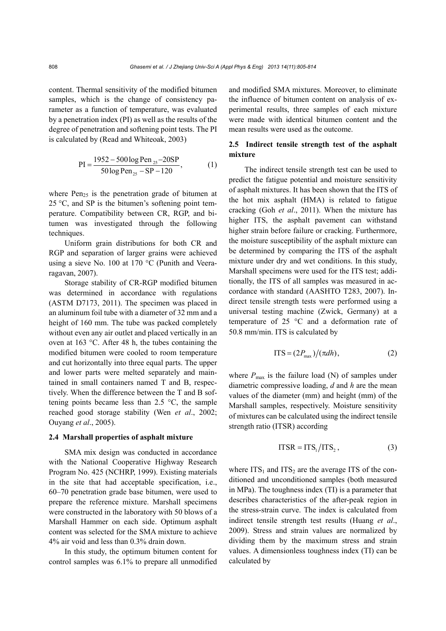content. Thermal sensitivity of the modified bitumen samples, which is the change of consistency parameter as a function of temperature, was evaluated by a penetration index (PI) as well as the results of the degree of penetration and softening point tests. The PI is calculated by (Read and Whiteoak, 2003)

$$
PI = \frac{1952 - 500 \log Pen_{25} - 20SP}{50 \log Pen_{25} - SP - 120},
$$
 (1)

where  $Pen<sub>25</sub>$  is the penetration grade of bitumen at  $25 \degree C$ , and SP is the bitumen's softening point temperature. Compatibility between CR, RGP, and bitumen was investigated through the following techniques.

Uniform grain distributions for both CR and RGP and separation of larger grains were achieved using a sieve No. 100 at 170 °C (Punith and Veeraragavan, 2007).

Storage stability of CR-RGP modified bitumen was determined in accordance with regulations (ASTM D7173, 2011). The specimen was placed in an aluminum foil tube with a diameter of 32 mm and a height of 160 mm. The tube was packed completely without even any air outlet and placed vertically in an oven at 163 °C. After 48 h, the tubes containing the modified bitumen were cooled to room temperature and cut horizontally into three equal parts. The upper and lower parts were melted separately and maintained in small containers named T and B, respectively. When the difference between the T and B softening points became less than  $2.5 \text{ °C}$ , the sample reached good storage stability (Wen *et al*., 2002; Ouyang *et al*., 2005).

# **2.4 Marshall properties of asphalt mixture**

SMA mix design was conducted in accordance with the National Cooperative Highway Research Program No. 425 (NCHRP, 1999). Existing materials in the site that had acceptable specification, i.e., 60–70 penetration grade base bitumen, were used to prepare the reference mixture. Marshall specimens were constructed in the laboratory with 50 blows of a Marshall Hammer on each side. Optimum asphalt content was selected for the SMA mixture to achieve 4% air void and less than 0.3% drain down.

In this study, the optimum bitumen content for control samples was 6.1% to prepare all unmodified

and modified SMA mixtures. Moreover, to eliminate the influence of bitumen content on analysis of experimental results, three samples of each mixture were made with identical bitumen content and the mean results were used as the outcome.

# **2.5 Indirect tensile strength test of the asphalt mixture**

The indirect tensile strength test can be used to predict the fatigue potential and moisture sensitivity of asphalt mixtures. It has been shown that the ITS of the hot mix asphalt (HMA) is related to fatigue cracking (Goh *et al*., 2011). When the mixture has higher ITS, the asphalt pavement can withstand higher strain before failure or cracking. Furthermore, the moisture susceptibility of the asphalt mixture can be determined by comparing the ITS of the asphalt mixture under dry and wet conditions. In this study, Marshall specimens were used for the ITS test; additionally, the ITS of all samples was measured in accordance with standard (AASHTO T283, 2007). Indirect tensile strength tests were performed using a universal testing machine (Zwick, Germany) at a temperature of 25 °C and a deformation rate of 50.8 mm/min. ITS is calculated by

$$
ITS = (2P_{\text{max}})/(\pi dh), \qquad (2)
$$

where  $P_{\text{max}}$  is the failure load (N) of samples under diametric compressive loading, *d* and *h* are the mean values of the diameter (mm) and height (mm) of the Marshall samples, respectively. Moisture sensitivity of mixtures can be calculated using the indirect tensile strength ratio (ITSR) according

$$
ITSR = ITS_1/ITS_2, \t(3)
$$

where  $ITS<sub>1</sub>$  and  $ITS<sub>2</sub>$  are the average ITS of the conditioned and unconditioned samples (both measured in MPa). The toughness index (TI) is a parameter that describes characteristics of the after-peak region in the stress-strain curve. The index is calculated from indirect tensile strength test results (Huang *et al*., 2009). Stress and strain values are normalized by dividing them by the maximum stress and strain values. A dimensionless toughness index (TI) can be calculated by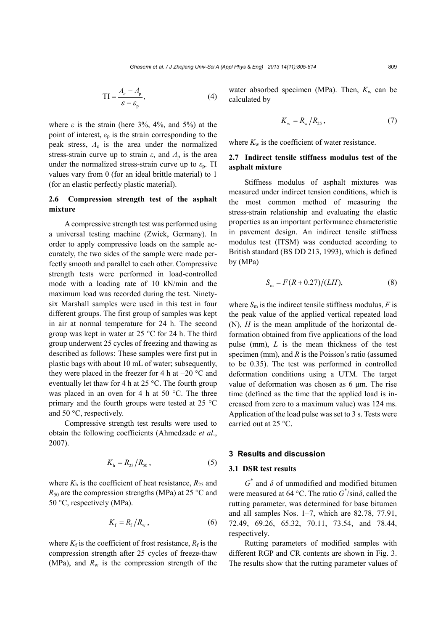$$
TI = \frac{A_{\varepsilon} - A_{\rm p}}{\varepsilon - \varepsilon_{\rm p}},\tag{4}
$$

where  $\varepsilon$  is the strain (here 3%, 4%, and 5%) at the point of interest,  $\varepsilon_p$  is the strain corresponding to the peak stress,  $A_{\varepsilon}$  is the area under the normalized stress-strain curve up to strain  $\varepsilon$ , and  $A_p$  is the area under the normalized stress-strain curve up to  $\varepsilon_p$ . TI values vary from 0 (for an ideal brittle material) to 1 (for an elastic perfectly plastic material).

# **2.6 Compression strength test of the asphalt mixture**

A compressive strength test was performed using a universal testing machine (Zwick, Germany). In order to apply compressive loads on the sample accurately, the two sides of the sample were made perfectly smooth and parallel to each other. Compressive strength tests were performed in load-controlled mode with a loading rate of 10 kN/min and the maximum load was recorded during the test. Ninetysix Marshall samples were used in this test in four different groups. The first group of samples was kept in air at normal temperature for 24 h. The second group was kept in water at 25 °C for 24 h. The third group underwent 25 cycles of freezing and thawing as described as follows: These samples were first put in plastic bags with about 10 mL of water; subsequently, they were placed in the freezer for 4 h at −20 °C and eventually let thaw for 4 h at 25 °C. The fourth group was placed in an oven for 4 h at 50 °C. The three primary and the fourth groups were tested at 25 °C and 50 °C, respectively.

Compressive strength test results were used to obtain the following coefficients (Ahmedzade *et al*., 2007).

$$
K_{\rm h} = R_{25} / R_{50} \,, \tag{5}
$$

where  $K_h$  is the coefficient of heat resistance,  $R_{25}$  and  $R_{50}$  are the compression strengths (MPa) at 25 °C and 50 °C, respectively (MPa).

$$
K_{\rm f} = R_{\rm f}/R_{\rm w} \,, \tag{6}
$$

where  $K_f$  is the coefficient of frost resistance,  $R_f$  is the compression strength after 25 cycles of freeze-thaw (MPa), and  $R_w$  is the compression strength of the water absorbed specimen (MPa). Then,  $K_w$  can be calculated by

$$
K_{\rm w} = R_{\rm w}/R_{25},\qquad \qquad (7)
$$

where  $K_w$  is the coefficient of water resistance.

# **2.7 Indirect tensile stiffness modulus test of the asphalt mixture**

Stiffness modulus of asphalt mixtures was measured under indirect tension conditions, which is the most common method of measuring the stress-strain relationship and evaluating the elastic properties as an important performance characteristic in pavement design. An indirect tensile stiffness modulus test (ITSM) was conducted according to British standard (BS DD 213, 1993), which is defined by (MPa)

$$
S_{\rm m} = F(R + 0.27)/(LH),\tag{8}
$$

where  $S_m$  is the indirect tensile stiffness modulus,  $F$  is the peak value of the applied vertical repeated load (N), *H* is the mean amplitude of the horizontal deformation obtained from five applications of the load pulse (mm), *L* is the mean thickness of the test specimen (mm), and *R* is the Poisson's ratio (assumed to be 0.35). The test was performed in controlled deformation conditions using a UTM. The target value of deformation was chosen as 6 μm. The rise time (defined as the time that the applied load is increased from zero to a maximum value) was 124 ms. Application of the load pulse was set to 3 s. Tests were carried out at 25 °C.

#### **3 Results and discussion**

#### **3.1 DSR test results**

 $G^*$  and  $\delta$  of unmodified and modified bitumen were measured at 64 °C. The ratio *G*\* /sin*δ*, called the rutting parameter, was determined for base bitumen and all samples Nos. 1–7, which are 82.78, 77.91, 72.49, 69.26, 65.32, 70.11, 73.54, and 78.44, respectively.

Rutting parameters of modified samples with different RGP and CR contents are shown in Fig. 3. The results show that the rutting parameter values of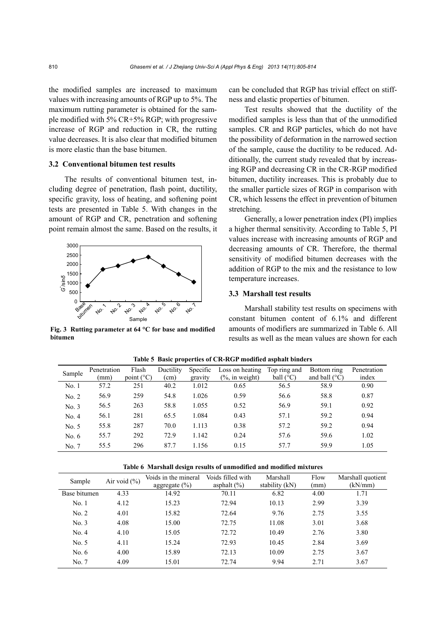the modified samples are increased to maximum values with increasing amounts of RGP up to 5%. The maximum rutting parameter is obtained for the sample modified with 5% CR+5% RGP; with progressive increase of RGP and reduction in CR, the rutting value decreases. It is also clear that modified bitumen is more elastic than the base bitumen.

# **3.2 Conventional bitumen test results**

The results of conventional bitumen test, including degree of penetration, flash point, ductility, specific gravity, loss of heating, and softening point tests are presented in Table 5. With changes in the amount of RGP and CR, penetration and softening point remain almost the same. Based on the results, it



**Fig. 3 Rutting parameter at 64 °C for base and modified bitumen**

can be concluded that RGP has trivial effect on stiffness and elastic properties of bitumen.

Test results showed that the ductility of the modified samples is less than that of the unmodified samples. CR and RGP particles, which do not have the possibility of deformation in the narrowed section of the sample, cause the ductility to be reduced. Additionally, the current study revealed that by increasing RGP and decreasing CR in the CR-RGP modified bitumen, ductility increases. This is probably due to the smaller particle sizes of RGP in comparison with CR, which lessens the effect in prevention of bitumen stretching.

Generally, a lower penetration index (PI) implies a higher thermal sensitivity. According to Table 5, PI values increase with increasing amounts of RGP and decreasing amounts of CR. Therefore, the thermal sensitivity of modified bitumen decreases with the addition of RGP to the mix and the resistance to low temperature increases.

# **3.3 Marshall test results**

Marshall stability test results on specimens with constant bitumen content of 6.1% and different amounts of modifiers are summarized in Table 6. All results as well as the mean values are shown for each

| Sample  | Penetration<br>(mm) | Flash<br>point $(^{\circ}C)$ | Ductility<br>(cm) | Specific<br>gravity | Loss on heating<br>$\frac{6}{2}$ , in weight) | Top ring and<br>ball $(^{\circ}C)$ | Bottom ring<br>and ball $(^{\circ}C)$ | Penetration<br>index |
|---------|---------------------|------------------------------|-------------------|---------------------|-----------------------------------------------|------------------------------------|---------------------------------------|----------------------|
| No. 1   | 57.2                | 251                          | 40.2              | 1.012               | 0.65                                          | 56.5                               | 58.9                                  | 0.90                 |
| No. 2   | 56.9                | 259                          | 54.8              | 1.026               | 0.59                                          | 56.6                               | 58.8                                  | 0.87                 |
| No. 3   | 56.5                | 263                          | 58.8              | 1.055               | 0.52                                          | 56.9                               | 59.1                                  | 0.92                 |
| No. 4   | 56.1                | 281                          | 65.5              | 1.084               | 0.43                                          | 57.1                               | 59.2                                  | 0.94                 |
| No. 5   | 55.8                | 287                          | 70.0              | 1.113               | 0.38                                          | 57.2                               | 59.2                                  | 0.94                 |
| No. $6$ | 55.7                | 292                          | 72.9              | 1.142               | 0.24                                          | 57.6                               | 59.6                                  | 1.02                 |
| No. 7   | 55.5                | 296                          | 87.7              | 1.156               | 0.15                                          | 57.7                               | 59.9                                  | 1.05                 |

**Table 5 Basic properties of CR-RGP modified asphalt binders**

|  |  |  |  | Table 6 Marshall design results of unmodified and modified mixtures |  |  |  |
|--|--|--|--|---------------------------------------------------------------------|--|--|--|
|--|--|--|--|---------------------------------------------------------------------|--|--|--|

| Sample       | Air void $(\% )$ | Voids in the mineral<br>$\frac{aggregate (%)}{2}$ | Voids filled with<br>asphalt $(\% )$ | Marshall<br>stability (kN) | Flow<br>(mm) | Marshall quotient<br>(kN/mm) |
|--------------|------------------|---------------------------------------------------|--------------------------------------|----------------------------|--------------|------------------------------|
| Base bitumen | 4.33             | 14.92                                             | 70.11                                | 6.82                       | 4.00         | 1.71                         |
| No.1         | 4.12             | 15.23                                             | 72.94                                | 10.13                      | 2.99         | 3.39                         |
| No. 2        | 4.01             | 15.82                                             | 72.64                                | 9.76                       | 2.75         | 3.55                         |
| No. 3        | 4.08             | 15.00                                             | 72.75                                | 11.08                      | 3.01         | 3.68                         |
| No. 4        | 4.10             | 15.05                                             | 72.72                                | 10.49                      | 2.76         | 3.80                         |
| No. 5        | 4.11             | 15.24                                             | 72.93                                | 10.45                      | 2.84         | 3.69                         |
| No. $6$      | 4.00             | 15.89                                             | 72.13                                | 10.09                      | 2.75         | 3.67                         |
| No. 7        | 4.09             | 15.01                                             | 72.74                                | 9.94                       | 2.71         | 3.67                         |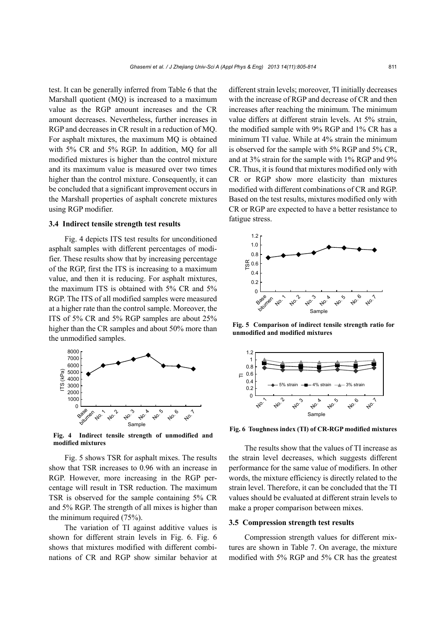test. It can be generally inferred from Table 6 that the Marshall quotient (MQ) is increased to a maximum value as the RGP amount increases and the CR amount decreases. Nevertheless, further increases in RGP and decreases in CR result in a reduction of MQ. For asphalt mixtures, the maximum MQ is obtained with 5% CR and 5% RGP. In addition, MQ for all modified mixtures is higher than the control mixture and its maximum value is measured over two times higher than the control mixture. Consequently, it can be concluded that a significant improvement occurs in the Marshall properties of asphalt concrete mixtures using RGP modifier.

### **3.4 Indirect tensile strength test results**

Fig. 4 depicts ITS test results for unconditioned asphalt samples with different percentages of modifier. These results show that by increasing percentage of the RGP, first the ITS is increasing to a maximum value, and then it is reducing. For asphalt mixtures, the maximum ITS is obtained with 5% CR and 5% RGP. The ITS of all modified samples were measured at a higher rate than the control sample. Moreover, the ITS of 5% CR and 5% RGP samples are about 25% higher than the CR samples and about 50% more than the unmodified samples.



**Fig. 4 Indirect tensile strength of unmodified and modified mixtures**

Fig. 5 shows TSR for asphalt mixes. The results show that TSR increases to 0.96 with an increase in RGP. However, more increasing in the RGP percentage will result in TSR reduction. The maximum TSR is observed for the sample containing 5% CR and 5% RGP. The strength of all mixes is higher than the minimum required (75%).

The variation of TI against additive values is shown for different strain levels in Fig. 6. Fig. 6 shows that mixtures modified with different combinations of CR and RGP show similar behavior at different strain levels; moreover, TI initially decreases with the increase of RGP and decrease of CR and then increases after reaching the minimum. The minimum value differs at different strain levels. At 5% strain, the modified sample with 9% RGP and 1% CR has a minimum TI value. While at 4% strain the minimum is observed for the sample with 5% RGP and 5% CR, and at 3% strain for the sample with 1% RGP and 9% CR. Thus, it is found that mixtures modified only with CR or RGP show more elasticity than mixtures modified with different combinations of CR and RGP. Based on the test results, mixtures modified only with CR or RGP are expected to have a better resistance to fatigue stress.



**Fig. 5 Comparison of indirect tensile strength ratio for unmodified and modified mixtures**



**Fig. 6 Toughness index (TI) of CR-RGP modified mixtures**

The results show that the values of TI increase as the strain level decreases, which suggests different performance for the same value of modifiers. In other words, the mixture efficiency is directly related to the strain level. Therefore, it can be concluded that the TI values should be evaluated at different strain levels to make a proper comparison between mixes.

#### **3.5 Compression strength test results**

Compression strength values for different mixtures are shown in Table 7. On average, the mixture modified with 5% RGP and 5% CR has the greatest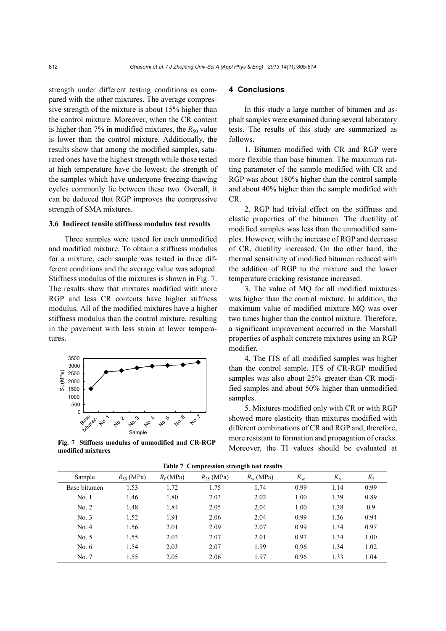strength under different testing conditions as compared with the other mixtures. The average compressive strength of the mixture is about 15% higher than the control mixture. Moreover, when the CR content is higher than 7% in modified mixtures, the  $R_{50}$  value is lower than the control mixture. Additionally, the results show that among the modified samples, saturated ones have the highest strength while those tested at high temperature have the lowest; the strength of the samples which have undergone freezing-thawing cycles commonly lie between these two. Overall, it can be deduced that RGP improves the compressive strength of SMA mixtures.

# **3.6 Indirect tensile stiffness modulus test results**

Three samples were tested for each unmodified and modified mixture. To obtain a stiffness modulus for a mixture, each sample was tested in three different conditions and the average value was adopted. Stiffness modulus of the mixtures is shown in Fig. 7. The results show that mixtures modified with more RGP and less CR contents have higher stiffness modulus. All of the modified mixtures have a higher stiffness modulus than the control mixture, resulting in the pavement with less strain at lower temperatures.



**Fig. 7 Stiffness modulus of unmodified and CR-RGP modified mixtures**

# **4 Conclusions**

In this study a large number of bitumen and asphalt samples were examined during several laboratory tests. The results of this study are summarized as follows.

1. Bitumen modified with CR and RGP were more flexible than base bitumen. The maximum rutting parameter of the sample modified with CR and RGP was about 180% higher than the control sample and about 40% higher than the sample modified with CR.

2. RGP had trivial effect on the stiffness and elastic properties of the bitumen. The ductility of modified samples was less than the unmodified samples. However, with the increase of RGP and decrease of CR, ductility increased. On the other hand, the thermal sensitivity of modified bitumen reduced with the addition of RGP to the mixture and the lower temperature cracking resistance increased.

3. The value of MQ for all modified mixtures was higher than the control mixture. In addition, the maximum value of modified mixture MQ was over two times higher than the control mixture. Therefore, a significant improvement occurred in the Marshall properties of asphalt concrete mixtures using an RGP modifier.

4. The ITS of all modified samples was higher than the control sample. ITS of CR-RGP modified samples was also about 25% greater than CR modified samples and about 50% higher than unmodified samples.

5. Mixtures modified only with CR or with RGP showed more elasticity than mixtures modified with different combinations of CR and RGP and, therefore, more resistant to formation and propagation of cracks. Moreover, the TI values should be evaluated at

|              | Table / Compression strength test results |            |                |                   |             |             |             |  |  |
|--------------|-------------------------------------------|------------|----------------|-------------------|-------------|-------------|-------------|--|--|
| Sample       | $R_{50}$ (MPa)                            | $R_f(MPa)$ | $R_{25}$ (MPa) | $R_{\rm w}$ (MPa) | $K_{\rm w}$ | $K_{\rm h}$ | $K_{\rm f}$ |  |  |
| Base bitumen | 1.53                                      | 1.72       | 1.75           | 1.74              | 0.99        | 1.14        | 0.99        |  |  |
| No.1         | 1.46                                      | 1.80       | 2.03           | 2.02              | 1.00        | 1.39        | 0.89        |  |  |
| No. 2        | 1.48                                      | 1.84       | 2.05           | 2.04              | 1.00        | 1.38        | 0.9         |  |  |
| No. 3        | 1.52                                      | 1.91       | 2.06           | 2.04              | 0.99        | 1.36        | 0.94        |  |  |
| No. 4        | 1.56                                      | 2.01       | 2.09           | 2.07              | 0.99        | 1.34        | 0.97        |  |  |
| No. 5        | 1.55                                      | 2.03       | 2.07           | 2.01              | 0.97        | 1.34        | 1.00        |  |  |
| No. $6$      | 1.54                                      | 2.03       | 2.07           | 1.99              | 0.96        | 1.34        | 1.02        |  |  |
| No. 7        | 1.55                                      | 2.05       | 2.06           | 1.97              | 0.96        | 1.33        | 1.04        |  |  |

**Table 7 Compression strength test results**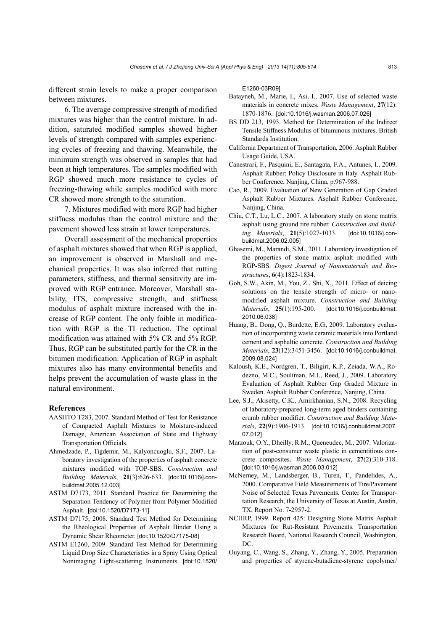different strain levels to make a proper comparison between mixtures.

6. The average compressive strength of modified mixtures was higher than the control mixture. In addition, saturated modified samples showed higher levels of strength compared with samples experiencing cycles of freezing and thawing. Meanwhile, the minimum strength was observed in samples that had been at high temperatures. The samples modified with RGP showed much more resistance to cycles of freezing-thawing while samples modified with more CR showed more strength to the saturation.

7. Mixtures modified with more RGP had higher stiffness modulus than the control mixture and the pavement showed less strain at lower temperatures.

Overall assessment of the mechanical properties of asphalt mixtures showed that when RGP is applied, an improvement is observed in Marshall and mechanical properties. It was also inferred that rutting parameters, stiffness, and thermal sensitivity are improved with RGP entrance. Moreover, Marshall stability, ITS, compressive strength, and stiffness modulus of asphalt mixture increased with the increase of RGP content. The only foible in modification with RGP is the TI reduction. The optimal modification was attained with 5% CR and 5% RGP. Thus, RGP can be substituted partly for the CR in the bitumen modification. Application of RGP in asphalt mixtures also has many environmental benefits and helps prevent the accumulation of waste glass in the natural environment.

# **References**

- AASHTO T283, 2007. Standard Method of Test for Resistance of Compacted Asphalt Mixtures to Moisture-induced Damage, American Association of State and Highway Transportation Officials.
- Ahmedzade, P., Tigdemir, M., Kalyoncuoglu, S.F., 2007. Laboratory investigation of the properties of asphalt concrete mixtures modified with TOP-SBS. *Construction and Building Materials*, **21**(3):626-633. [doi:10.1016/j.conbuildmat.2005.12.003]
- ASTM D7173, 2011. Standard Practice for Determining the Separation Tendency of Polymer from Polymer Modified Asphalt. [doi:10.1520/D7173-11]
- ASTM D7175, 2008. Standard Test Method for Determining the Rheological Properties of Asphalt Binder Using a Dynamic Shear Rheometer. [doi:10.1520/D7175-08]
- ASTM E1260, 2009. Standard Test Method for Determining Liquid Drop Size Characteristics in a Spray Using Optical Nonimaging Light-scattering Instruments. [doi:10.1520/

E1260-03R09]

- Batayneh, M., Marie, I., Asi, I., 2007. Use of selected waste materials in concrete mixes. *Waste Management*, **27**(12): 1870-1876. [doi:10.1016/j.wasman.2006.07.026]
- BS DD 213, 1993. Method for Determination of the Indirect Tensile Stiffness Modulus of bituminous mixtures. British Standards Institution.
- California Department of Transportation, 2006. Asphalt Rubber Usage Guide, USA.
- Canestrari, F., Pasquini, E., Santagata, F.A., Antunes, I., 2009. Asphalt Rubber: Policy Disclosure in Italy. Asphalt Rubber Conference, Nanjing, China, p.967-988.
- Cao, R., 2009. Evaluation of New Generation of Gap Graded Asphalt Rubber Mixtures. Asphalt Rubber Conference, Nanjing, China.
- Chiu, C.T., Lu, L.C., 2007. A laboratory study on stone matrix asphalt using ground tire rubber. *Construction and Building Materials*, **21**(5):1027-1033. [doi:10.1016/j.conbuildmat.2006.02.005]
- Ghasemi, M., Marandi, S.M., 2011. Laboratory investigation of the properties of stone matrix asphalt modified with RGP-SBS. *Digest Journal of Nanomaterials and Biostructures*, **6**(4):1823-1834.
- Goh, S.W., Akin, M., You, Z., Shi, X., 2011. Effect of deicing solutions on the tensile strength of micro- or nanomodified asphalt mixture. *Construction and Building Materials*, **25**(1):195-200. [doi:10.1016/j.conbuildmat. 2010.06.038]
- Huang, B., Dong, Q., Burdette, E.G., 2009. Laboratory evaluation of incorporating waste ceramic materials into Portland cement and asphaltic concrete. *Construction and Building Materials*, **23**(12):3451-3456. [doi:10.1016/j.conbuildmat. 2009.08.024]
- Kaloush, K.E., Nordgren, T., Biligiri, K.P., Zeiada, W.A., Rodezno, M.C., Souliman, M.I., Reed, J., 2009. Laboratory Evaluation of Asphalt Rubber Gap Graded Mixture in Sweden. Asphalt Rubber Conference, Nanjing, China.
- Lee, S.J., Akisetty, C.K., Amirkhanian, S.N., 2008. Recycling of laboratory-prepared long-term aged binders containing crumb rubber modifier. *Construction and Building Materials*, **22**(9):1906-1913. [doi:10.1016/j.conbuildmat.2007. 07.012]
- Marzouk, O.Y., Dheilly, R.M., Queneudec, M., 2007. Valorization of post-consumer waste plastic in cementitious concrete composites. *Waste Management*, **27**(2):310-318. [doi:10.1016/j.wasman.2006.03.012]
- McNerney, M., Landsberger, B., Turen, T., Pandelides, A., 2000. Comparative Field Measurements of Tire/Pavement Noise of Selected Texas Pavements. Center for Transportation Research, the University of Texas at Austin, Austin, TX, Report No. 7-2957-2.
- NCHRP, 1999. Report 425: Designing Stone Matrix Asphalt Mixtures for Rut-Resistant Pavements. Transportation Research Board, National Research Council, Washington, DC.
- Ouyang, C., Wang, S., Zhang, Y., Zhang, Y., 2005. Preparation and properties of styrene-butadiene-styrene copolymer/